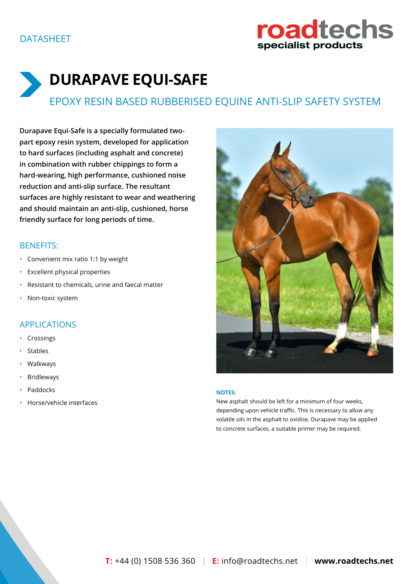

**Durapave Equi-Safe is a specially formulated twopart epoxy resin system, developed for application to hard surfaces (including asphalt and concrete) in combination with rubber chippings to form a hard-wearing, high performance, cushioned noise reduction and anti-slip surface. The resultant surfaces are highly resistant to wear and weathering and should maintain an anti-slip, cushioned, horse friendly surface for long periods of time.**

# BENEFITS:

- Convenient mix ratio 1:1 by weight
- Excellent physical properties
- Resistant to chemicals, urine and faecal matter
- Non-toxic system

## APPLICATIONS

- Crossings
- **Stables**
- Walkways
- Bridleways
- Paddocks
- Horse/vehicle interfaces



#### **NOTES:**

New asphalt should be left for a minimum of four weeks, depending upon vehicle traffic. This is necessary to allow any volatile oils in the asphalt to oxidise. Durapave may be applied to concrete surfaces, a suitable primer may be required.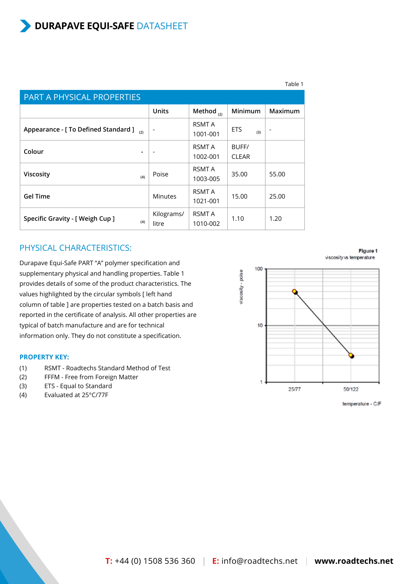|                                             |                          |                           |                       | Table 1                  |
|---------------------------------------------|--------------------------|---------------------------|-----------------------|--------------------------|
| <b>PART A PHYSICAL PROPERTIES</b>           |                          |                           |                       |                          |
|                                             | <b>Units</b>             | Method $_{(2)}$           | Minimum               | Maximum                  |
| Appearance - [ To Defined Standard ]<br>(2) | $\overline{\phantom{a}}$ | <b>RSMT A</b><br>1001-001 | <b>ETS</b><br>(3)     | $\overline{\phantom{a}}$ |
| Colour                                      |                          | <b>RSMT A</b><br>1002-001 | BUFF/<br><b>CLEAR</b> |                          |
| Viscosity<br>(4)                            | Poise                    | <b>RSMT A</b><br>1003-005 | 35.00                 | 55.00                    |
| <b>Gel Time</b>                             | <b>Minutes</b>           | <b>RSMT A</b><br>1021-001 | 15.00                 | 25.00                    |
| Specific Gravity - [ Weigh Cup ]<br>(4)     | Kilograms/<br>litre      | <b>RSMT A</b><br>1010-002 | 1.10                  | 1.20                     |

### PHYSICAL CHARACTERISTICS:

Durapave Equi-Safe PART "A" polymer specification and supplementary physical and handling properties. Table 1 provides details of some of the product characteristics. The values highlighted by the circular symbols [ left hand column of table ] are properties tested on a batch basis and reported in the certificate of analysis. All other properties are typical of batch manufacture and are for technical information only. They do not constitute a specification.

#### **PROPERTY KEY:**

- (1) RSMT Roadtechs Standard Method of Test
- (2) FFFM Free from Foreign Matter
- (3) ETS Equal to Standard
- (4) Evaluated at 25°C/77F

Figure 1 viscosity vs temperature



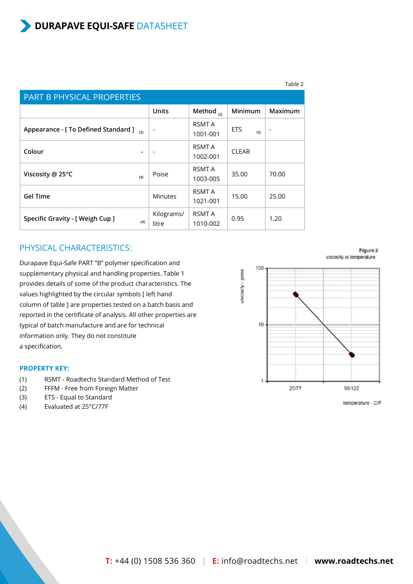|                                      |     |                          |                           |                   | Table 2                  |
|--------------------------------------|-----|--------------------------|---------------------------|-------------------|--------------------------|
| PART B PHYSICAL PROPERTIES           |     |                          |                           |                   |                          |
|                                      |     | <b>Units</b>             | Method $_{(2)}$           | Minimum           | Maximum                  |
| Appearance - [ To Defined Standard ] | (2) | $\overline{\phantom{a}}$ | RSMT A<br>1001-001        | <b>ETS</b><br>(3) | $\overline{\phantom{a}}$ |
| Colour                               |     |                          | <b>RSMT A</b><br>1002-001 | <b>CLEAR</b>      |                          |
| Viscosity @ 25 $\degree$ C           | (4) | Poise                    | <b>RSMT A</b><br>1003-005 | 35.00             | 70.00                    |
| <b>Gel Time</b>                      |     | <b>Minutes</b>           | RSMT A<br>1021-001        | 15.00             | 25.00                    |
| Specific Gravity - [ Weigh Cup ]     | (4) | Kilograms/<br>litre      | <b>RSMT A</b><br>1010-002 | 0.95              | 1.20                     |

### PHYSICAL CHARACTERISTICS:

Durapave Equi-Safe PART "B" polymer specification and supplementary physical and handling properties. Table 1 provides details of some of the product characteristics. The values highlighted by the circular symbols [ left hand column of table ] are properties tested on a batch basis and reported in the certificate of analysis. All other properties are typical of batch manufacture and are for technical information only. They do not constitute a specification.

#### **PROPERTY KEY:**

- (1) RSMT Roadtechs Standard Method of Test
- (2) FFFM Free from Foreign Matter
- (3) ETS Equal to Standard
- (4) Evaluated at 25°C/77F

100 viscosity - poise  $10$ 1 25/77 50/122



viscosity vs temperature

Figure 2

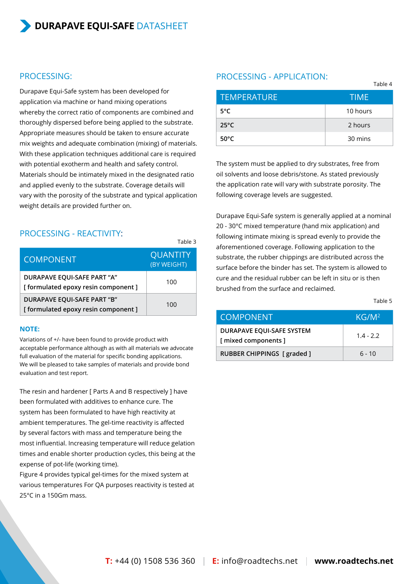### PROCESSING:

Durapave Equi-Safe system has been developed for application via machine or hand mixing operations whereby the correct ratio of components are combined and thoroughly dispersed before being applied to the substrate. Appropriate measures should be taken to ensure accurate mix weights and adequate combination (mixing) of materials. With these application techniques additional care is required with potential exotherm and health and safety control. Materials should be intimately mixed in the designated ratio and applied evenly to the substrate. Coverage details will vary with the porosity of the substrate and typical application weight details are provided further on.

### PROCESSING - REACTIVITY:

|                                                                   | 1 QUIC J                       |
|-------------------------------------------------------------------|--------------------------------|
| <b>COMPONENT</b>                                                  | <b>QUANTITY</b><br>(BY WEIGHT) |
| DURAPAVE EQUI-SAFE PART "A"<br>[formulated epoxy resin component] | 100                            |
| DURAPAVE EQUI-SAFE PART "B"<br>[formulated epoxy resin component] | 100                            |

Table 2

#### **NOTE:**

Variations of +/- have been found to provide product with acceptable performance although as with all materials we advocate full evaluation of the material for specific bonding applications. We will be pleased to take samples of materials and provide bond evaluation and test report.

The resin and hardener [ Parts A and B respectively ] have been formulated with additives to enhance cure. The system has been formulated to have high reactivity at ambient temperatures. The gel-time reactivity is affected by several factors with mass and temperature being the most influential. Increasing temperature will reduce gelation times and enable shorter production cycles, this being at the expense of pot-life (working time).

Figure 4 provides typical gel-times for the mixed system at various temperatures For QA purposes reactivity is tested at 25°C in a 150Gm mass.

### PROCESSING - APPLICATION:

|                    | $1$ uvit $-$ |
|--------------------|--------------|
| <b>TEMPERATURE</b> | TIME'        |
| $5^{\circ}$ C      | 10 hours     |
| $25^{\circ}$ C     | 2 hours      |
| $50^{\circ}$ C     | 30 mins      |

The system must be applied to dry substrates, free from oil solvents and loose debris/stone. As stated previously the application rate will vary with substrate porosity. The following coverage levels are suggested.

Durapave Equi-Safe system is generally applied at a nominal 20 - 30°C mixed temperature (hand mix application) and following intimate mixing is spread evenly to provide the aforementioned coverage. Following application to the substrate, the rubber chippings are distributed across the surface before the binder has set. The system is allowed to cure and the residual rubber can be left in situ or is then brushed from the surface and reclaimed.

#### Table 5

 $Table 4$ 

| <b>COMPONENT</b>                                | KG/M <sup>2</sup> |
|-------------------------------------------------|-------------------|
| DURAPAVE EQUI-SAFE SYSTEM<br>[mixed components] | $1.4 - 2.2$       |
| RUBBER CHIPPINGS [ graded ]                     | $6 - 10$          |